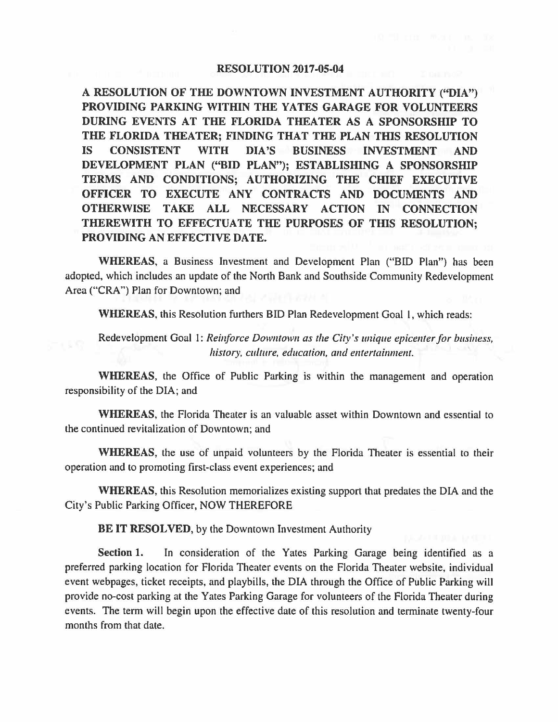## **RESOLUTION 2017-05-04**

**A RESOLUTION OF THE DOWNTOWN INVESTMENT AUTHORITY ("DIA") PROVIDING PARKING WITHIN THE YATES GARAGE FOR VOLUNTEERS DURING EVENTS AT THE FLORIDA THEATER AS A SPONSORSHIP TO THE FLORIDA THEATER; FINDING THAT THE PLAN THIS RESOLUTION IS CONSISTENT WITH DIA'S BUSINESS INVESTMENT AND DEVELOPMENT PLAN (''BID PLAN"); ESTABLISHING A SPONSORSHIP TERMS AND CONDITIONS; AUTHORIZING THE CHIEF EXECUTIVE OFFICER TO EXECUTE ANY CONTRACTS AND DOCUMENTS AND OTHERWISE TAKE ALL NECESSARY ACTION IN CONNECTION THEREWITH TO EFFECTUATE THE PURPOSES OF THIS RESOLUTION; PROVIDING AN EFFECTIVE DATE.** 

**WHEREAS,** a Business Investment and Development Plan ("BID Plan") has been adopted, which includes an update of the North Bank and Southside Community Redevelopment Area ("CRA") Plan for Downtown; and

**WHEREAS,** this Resolution furthers BID Plan Redevelopment Goal I, which reads:

Redevelopment Goal 1: *Reinforce Downtown as the City's unique epicenter for business, history, culture, education, and entertainment.* 

**WHEREAS,** the Office of Public Parking is within the management and operation responsibility of the DIA; and

**WHEREAS,** the Florida Theater is an valuable asset within Downtown and essential to the continued revitalization of Downtown; and

**WHEREAS,** the use of unpaid volunteers by the Florida Theater is essential to their operation and to promoting first-class event experiences; and

**WHEREAS,** this Resolution memorializes existing support that predates the DIA and the City's Public Parking Officer, NOW THEREFORE

**BE IT RESOLVED,** by the Downtown Investment Authority

**Section 1.** In consideration of the Yates Parking Garage being identified as a preferred parking location for Florida Theater events on the Florida Theater website, individual event webpages, ticket receipts, and playbills, the DIA through the Office of Public Parking will provide no-cost parking at the Yates Parking Garage for volunteers of the Florida Theater during events. The term will begin upon the effective date of this resolution and terminate twenty-four months from that date.